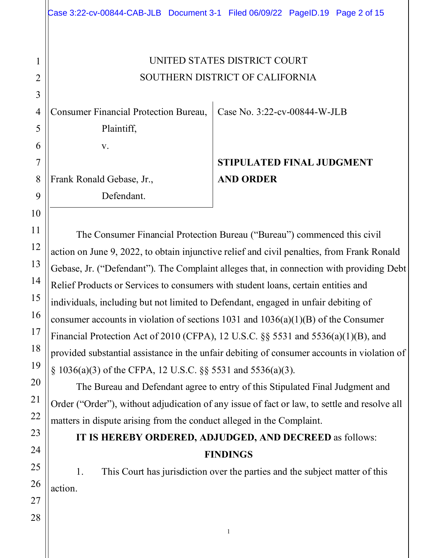### UNITED STATES DISTRICT COURT SOUTHERN DISTRICT OF CALIFORNIA

Consumer Financial Protection Bureau,

Plaintiff,

v.

Frank Ronald Gebase, Jr.,

Defendant.

Case No. 3:22-cv-00844-W-JLB

# **STIPULATED FINAL JUDGMENT AND ORDER**

The Consumer Financial Protection Bureau ("Bureau") commenced this civil action on June 9, 2022, to obtain injunctive relief and civil penalties, from Frank Ronald Gebase, Jr. ("Defendant"). The Complaint alleges that, in connection with providing Debt Relief Products or Services to consumers with student loans, certain entities and individuals, including but not limited to Defendant, engaged in unfair debiting of consumer accounts in violation of sections 1031 and  $1036(a)(1)(B)$  of the Consumer Financial Protection Act of 2010 (CFPA), 12 U.S.C. §§ 5531 and 5536(a)(1)(B), and provided substantial assistance in the unfair debiting of consumer accounts in violation of § 1036(a)(3) of the CFPA, 12 U.S.C. §§ 5531 and 5536(a)(3).

The Bureau and Defendant agree to entry of this Stipulated Final Judgment and Order ("Order"), without adjudication of any issue of fact or law, to settle and resolve all matters in dispute arising from the conduct alleged in the Complaint.

## **IT IS HEREBY ORDERED, ADJUDGED, AND DECREED** as follows: **FINDINGS**

1. This Court has jurisdiction over the parties and the subject matter of this action.

1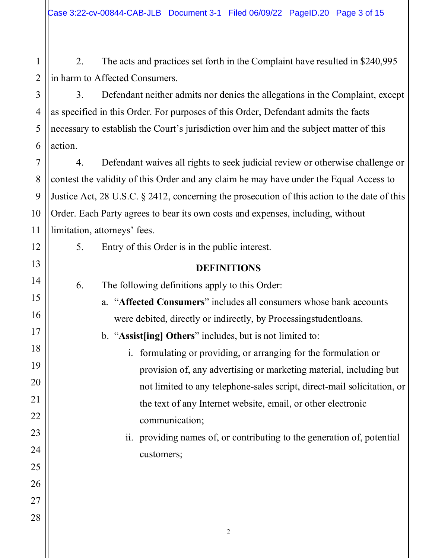Case 3:22-cv-00844-CAB-JLB Document 3-1 Filed 06/09/22 PageID.20 Page 3 of 15

2. The acts and practices set forth in the Complaint have resulted in \$240,995 in harm to Affected Consumers.

3. Defendant neither admits nor denies the allegations in the Complaint, except as specified in this Order. For purposes of this Order, Defendant admits the facts necessary to establish the Court's jurisdiction over him and the subject matter of this action.

4. Defendant waives all rights to seek judicial review or otherwise challenge or contest the validity of this Order and any claim he may have under the Equal Access to Justice Act, 28 U.S.C. § 2412, concerning the prosecution of this action to the date of this Order. Each Party agrees to bear its own costs and expenses, including, without limitation, attorneys' fees.

5. Entry of this Order is in the public interest.

### **DEFINITIONS**

6. The following definitions apply to this Order:

- a. "**Affected Consumers**" includes all consumers whose bank accounts were debited, directly or indirectly, by Processingstudentloans.
- b. "**Assist[ing] Others**" includes, but is not limited to:
	- i. formulating or providing, or arranging for the formulation or provision of, any advertising or marketing material, including but not limited to any telephone-sales script, direct-mail solicitation, or the text of any Internet website, email, or other electronic communication;
	- ii. providing names of, or contributing to the generation of, potential customers;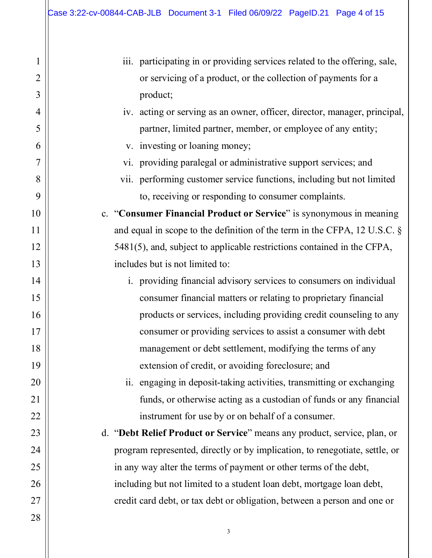1

2

3

4

5

6

7

8

9

10

11

12

13

14

15

16

17

18

19

20

21

22

23

24

25

26

27

| iii. participating in or providing services related to the offering, sale,   |
|------------------------------------------------------------------------------|
| or servicing of a product, or the collection of payments for a               |
| product;                                                                     |
| iv. acting or serving as an owner, officer, director, manager, principal,    |
| partner, limited partner, member, or employee of any entity;                 |
| v. investing or loaning money;                                               |
| vi. providing paralegal or administrative support services; and              |
| vii. performing customer service functions, including but not limited        |
| to, receiving or responding to consumer complaints.                          |
| c. "Consumer Financial Product or Service" is synonymous in meaning          |
| and equal in scope to the definition of the term in the CFPA, 12 U.S.C. $\S$ |
| 5481(5), and, subject to applicable restrictions contained in the CFPA,      |
| includes but is not limited to:                                              |
| i. providing financial advisory services to consumers on individual          |
| consumer financial matters or relating to proprietary financial              |
| products or services, including providing credit counseling to any           |
| consumer or providing services to assist a consumer with debt                |
| management or debt settlement, modifying the terms of any                    |
| extension of credit, or avoiding foreclosure; and                            |
| ii. engaging in deposit-taking activities, transmitting or exchanging        |
| funds, or otherwise acting as a custodian of funds or any financial          |
| instrument for use by or on behalf of a consumer.                            |
| d. "Debt Relief Product or Service" means any product, service, plan, or     |
| program represented, directly or by implication, to renegotiate, settle, or  |
| in any way alter the terms of payment or other terms of the debt,            |
| including but not limited to a student loan debt, mortgage loan debt,        |
| credit card debt, or tax debt or obligation, between a person and one or     |
|                                                                              |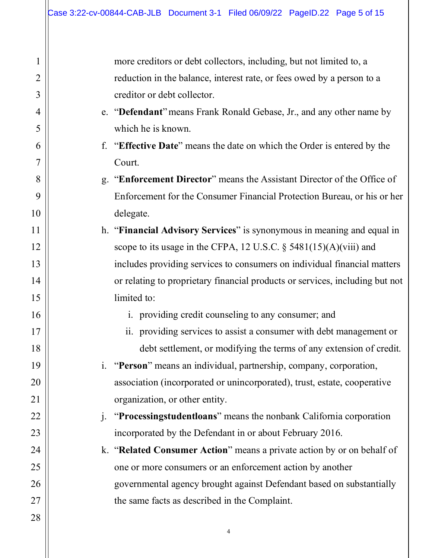1

2

3

4

5

6

7

8

9

10

11

12

13

14

15

16

17

18

19

20

21

22

23

24

25

26

27

28

more creditors or debt collectors, including, but not limited to, a reduction in the balance, interest rate, or fees owed by a person to a creditor or debt collector. e. "**Defendant**"means Frank Ronald Gebase, Jr., and any other name by which he is known. f. "**Effective Date**" means the date on which the Order is entered by the Court. g. "**Enforcement Director**" means the Assistant Director of the Office of Enforcement for the Consumer Financial Protection Bureau, or his or her delegate. h. "**Financial Advisory Services**" is synonymous in meaning and equal in scope to its usage in the CFPA, 12 U.S.C. § 5481(15)(A)(viii) and includes providing services to consumers on individual financial matters or relating to proprietary financial products or services, including but not limited to: i. providing credit counseling to any consumer; and ii. providing services to assist a consumer with debt management or debt settlement, or modifying the terms of any extension of credit. i. "**Person**" means an individual, partnership, company, corporation, association (incorporated or unincorporated), trust, estate, cooperative organization, or other entity. j. "**Processingstudentloans**" means the nonbank California corporation incorporated by the Defendant in or about February 2016. k. "**Related Consumer Action**" means a private action by or on behalf of one or more consumers or an enforcement action by another governmental agency brought against Defendant based on substantially the same facts as described in the Complaint.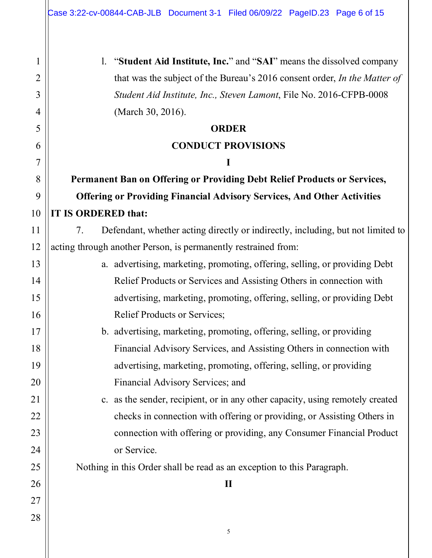1

2

3

5

10

11

21

4 6 7 8 9 12 13 14 15 16 17 18 19 20 22 23 24 25 26 27 28 l. "**Student Aid Institute, Inc.**" and "**SAI**" means the dissolved company that was the subject of the Bureau's 2016 consent order, *In the Matter of Student Aid Institute, Inc., Steven Lamont*, File No. 2016-CFPB-0008 (March 30, 2016). **ORDER CONDUCT PROVISIONS I Permanent Ban on Offering or Providing Debt Relief Products or Services, Offering or Providing Financial Advisory Services, And Other Activities IT IS ORDERED that:** 7. Defendant, whether acting directly or indirectly, including, but not limited to acting through another Person, is permanently restrained from: a. advertising, marketing, promoting, offering, selling, or providing Debt Relief Products or Services and Assisting Others in connection with advertising, marketing, promoting, offering, selling, or providing Debt Relief Products or Services; b. advertising, marketing, promoting, offering, selling, or providing Financial Advisory Services, and Assisting Others in connection with advertising, marketing, promoting, offering, selling, or providing Financial Advisory Services; and c. as the sender, recipient, or in any other capacity, using remotely created checks in connection with offering or providing, or Assisting Others in connection with offering or providing, any Consumer Financial Product or Service. Nothing in this Order shall be read as an exception to this Paragraph. **II**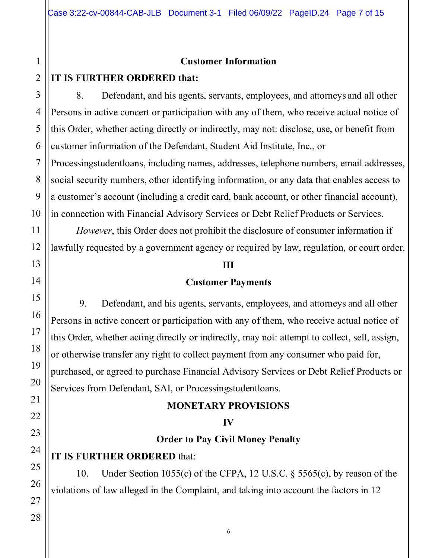### **Customer Information**

### **IT IS FURTHER ORDERED that:**

8. Defendant, and his agents, servants, employees, and attorneys and all other Persons in active concert or participation with any of them, who receive actual notice of this Order, whether acting directly or indirectly, may not: disclose, use, or benefit from customer information of the Defendant, Student Aid Institute, Inc., or

Processingstudentloans, including names, addresses, telephone numbers, email addresses, social security numbers, other identifying information, or any data that enables access to a customer's account (including a credit card, bank account, or other financial account), in connection with Financial Advisory Services or Debt Relief Products or Services.

*However*, this Order does not prohibit the disclosure of consumer information if lawfully requested by a government agency or required by law, regulation, or court order.

#### **III**

### **Customer Payments**

9. Defendant, and his agents, servants, employees, and attorneys and all other Persons in active concert or participation with any of them, who receive actual notice of this Order, whether acting directly or indirectly, may not: attempt to collect, sell, assign, or otherwise transfer any right to collect payment from any consumer who paid for, purchased, or agreed to purchase Financial Advisory Services or Debt Relief Products or Services from Defendant, SAI, or Processingstudentloans.

#### **MONETARY PROVISIONS**

#### **IV**

### **Order to Pay Civil Money Penalty**

### **IT IS FURTHER ORDERED** that:

10. Under Section 1055(c) of the CFPA, 12 U.S.C. § 5565(c), by reason of the violations of law alleged in the Complaint, and taking into account the factors in 12

1

2

3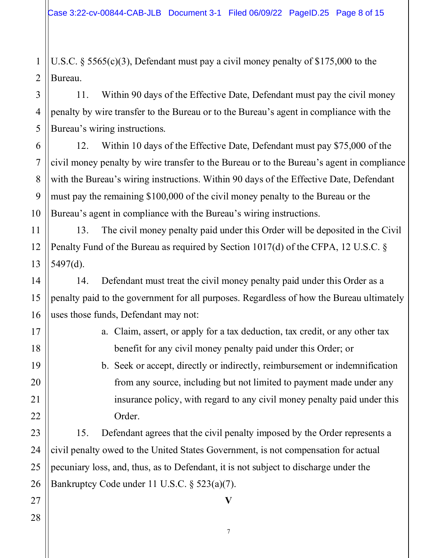U.S.C. § 5565(c)(3), Defendant must pay a civil money penalty of \$175,000 to the Bureau.

11. Within 90 days of the Effective Date, Defendant must pay the civil money penalty by wire transfer to the Bureau or to the Bureau's agent in compliance with the Bureau's wiring instructions.

12. Within 10 days of the Effective Date, Defendant must pay \$75,000 of the civil money penalty by wire transfer to the Bureau or to the Bureau's agent in compliance with the Bureau's wiring instructions. Within 90 days of the Effective Date, Defendant must pay the remaining \$100,000 of the civil money penalty to the Bureau or the Bureau's agent in compliance with the Bureau's wiring instructions.

12 13 13. The civil money penalty paid under this Order will be deposited in the Civil Penalty Fund of the Bureau as required by Section 1017(d) of the CFPA, 12 U.S.C. § 5497(d).

14. Defendant must treat the civil money penalty paid under this Order as a penalty paid to the government for all purposes. Regardless of how the Bureau ultimately uses those funds, Defendant may not:

- a. Claim, assert, or apply for a tax deduction, tax credit, or any other tax benefit for any civil money penalty paid under this Order; or
- b. Seek or accept, directly or indirectly, reimbursement or indemnification from any source, including but not limited to payment made under any insurance policy, with regard to any civil money penalty paid under this Order.

15. Defendant agrees that the civil penalty imposed by the Order represents a civil penalty owed to the United States Government, is not compensation for actual pecuniary loss, and, thus, as to Defendant, it is not subject to discharge under the Bankruptcy Code under 11 U.S.C. § 523(a)(7).

1

2

3

4

5

6

7

8

9

10

11

14

15

16

17

18

19

28

7

**V**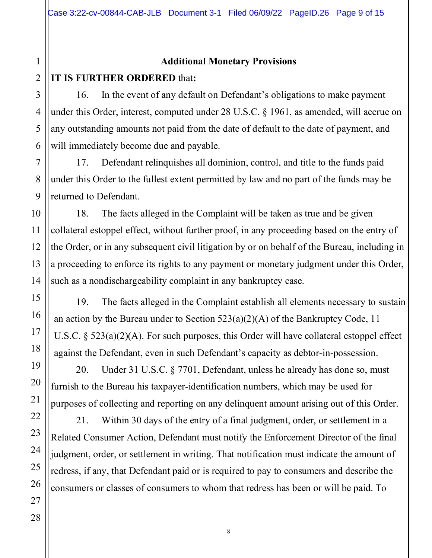### **Additional Monetary Provisions**

#### 2 **IT IS FURTHER ORDERED** that**:**

16. In the event of any default on Defendant's obligations to make payment under this Order, interest, computed under 28 U.S.C. § 1961, as amended, will accrue on any outstanding amounts not paid from the date of default to the date of payment, and will immediately become due and payable.

17. Defendant relinquishes all dominion, control, and title to the funds paid under this Order to the fullest extent permitted by law and no part of the funds may be returned to Defendant.

18. The facts alleged in the Complaint will be taken as true and be given collateral estoppel effect, without further proof, in any proceeding based on the entry of the Order, or in any subsequent civil litigation by or on behalf of the Bureau, including in a proceeding to enforce its rights to any payment or monetary judgment under this Order, such as a nondischargeability complaint in any bankruptcy case.

19. The facts alleged in the Complaint establish all elements necessary to sustain an action by the Bureau under to Section  $523(a)(2)(A)$  of the Bankruptcy Code, 11 U.S.C. § 523(a)(2)(A). For such purposes, this Order will have collateral estoppel effect against the Defendant, even in such Defendant's capacity as debtor-in-possession.

20. Under 31 U.S.C. § 7701, Defendant, unless he already has done so, must furnish to the Bureau his taxpayer-identification numbers, which may be used for purposes of collecting and reporting on any delinquent amount arising out of this Order.

21. Within 30 days of the entry of a final judgment, order, or settlement in a Related Consumer Action, Defendant must notify the Enforcement Director of the final judgment, order, or settlement in writing. That notification must indicate the amount of redress, if any, that Defendant paid or is required to pay to consumers and describe the consumers or classes of consumers to whom that redress has been or will be paid. To

1

3

4

5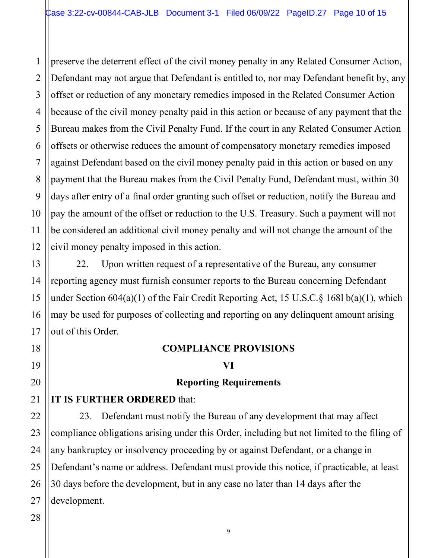1 2 3 4 5 6 7 8 9 10 11 12 preserve the deterrent effect of the civil money penalty in any Related Consumer Action, Defendant may not argue that Defendant is entitled to, nor may Defendant benefit by, any offset or reduction of any monetary remedies imposed in the Related Consumer Action because of the civil money penalty paid in this action or because of any payment that the Bureau makes from the Civil Penalty Fund. If the court in any Related Consumer Action offsets or otherwise reduces the amount of compensatory monetary remedies imposed against Defendant based on the civil money penalty paid in this action or based on any payment that the Bureau makes from the Civil Penalty Fund, Defendant must, within 30 days after entry of a final order granting such offset or reduction, notify the Bureau and pay the amount of the offset or reduction to the U.S. Treasury. Such a payment will not be considered an additional civil money penalty and will not change the amount of the civil money penalty imposed in this action.

22. Upon written request of a representative of the Bureau, any consumer reporting agency must furnish consumer reports to the Bureau concerning Defendant under Section 604(a)(1) of the Fair Credit Reporting Act, 15 U.S.C.§ 168l b(a)(1), which may be used for purposes of collecting and reporting on any delinquent amount arising out of this Order.

### **COMPLIANCE PROVISIONS**

### **VI**

### **Reporting Requirements**

### **IT IS FURTHER ORDERED** that:

23. Defendant must notify the Bureau of any development that may affect compliance obligations arising under this Order, including but not limited to the filing of any bankruptcy or insolvency proceeding by or against Defendant, or a change in Defendant's name or address. Defendant must provide this notice, if practicable, at least 30 days before the development, but in any case no later than 14 days after the development.

13

14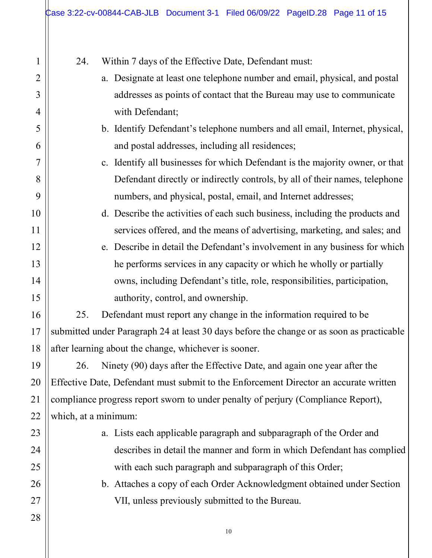1 2 3 4 5 6 7 8 9 10 11 12 13 14 15 16 17 18 19 20 21 22 23 24 25 26 27 28 24. Within 7 days of the Effective Date, Defendant must: a. Designate at least one telephone number and email, physical, and postal addresses as points of contact that the Bureau may use to communicate with Defendant; b. Identify Defendant's telephone numbers and all email, Internet, physical, and postal addresses, including all residences; c. Identify all businesses for which Defendant is the majority owner, or that Defendant directly or indirectly controls, by all of their names, telephone numbers, and physical, postal, email, and Internet addresses; d. Describe the activities of each such business, including the products and services offered, and the means of advertising, marketing, and sales; and e. Describe in detail the Defendant's involvement in any business for which he performs services in any capacity or which he wholly or partially owns, including Defendant's title, role, responsibilities, participation, authority, control, and ownership. 25. Defendant must report any change in the information required to be submitted under Paragraph 24 at least 30 days before the change or as soon as practicable after learning about the change, whichever is sooner. 26. Ninety (90) days after the Effective Date, and again one year after the Effective Date, Defendant must submit to the Enforcement Director an accurate written compliance progress report sworn to under penalty of perjury (Compliance Report), which, at a minimum: a. Lists each applicable paragraph and subparagraph of the Order and describes in detail the manner and form in which Defendant has complied with each such paragraph and subparagraph of this Order; b. Attaches a copy of each Order Acknowledgment obtained under Section VII, unless previously submitted to the Bureau.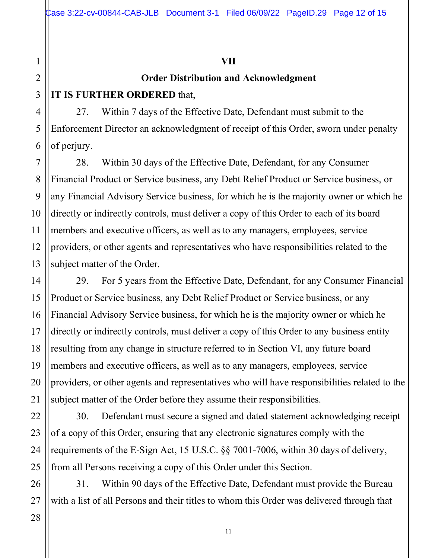### **VII**

### **Order Distribution and Acknowledgment**

### **IT IS FURTHER ORDERED** that,

27. Within 7 days of the Effective Date, Defendant must submit to the Enforcement Director an acknowledgment of receipt of this Order, sworn under penalty of perjury.

7 8 9 10 11 12 13 28. Within 30 days of the Effective Date, Defendant, for any Consumer Financial Product or Service business, any Debt Relief Product or Service business, or any Financial Advisory Service business, for which he is the majority owner or which he directly or indirectly controls, must deliver a copy of this Order to each of its board members and executive officers, as well as to any managers, employees, service providers, or other agents and representatives who have responsibilities related to the subject matter of the Order.

29. For 5 years from the Effective Date, Defendant, for any Consumer Financial Product or Service business, any Debt Relief Product or Service business, or any Financial Advisory Service business, for which he is the majority owner or which he directly or indirectly controls, must deliver a copy of this Order to any business entity resulting from any change in structure referred to in Section VI, any future board members and executive officers, as well as to any managers, employees, service providers, or other agents and representatives who will have responsibilities related to the subject matter of the Order before they assume their responsibilities.

30. Defendant must secure a signed and dated statement acknowledging receipt of a copy of this Order, ensuring that any electronic signatures comply with the requirements of the E-Sign Act, 15 U.S.C. §§ 7001-7006, within 30 days of delivery, from all Persons receiving a copy of this Order under this Section.

31. Within 90 days of the Effective Date, Defendant must provide the Bureau with a list of all Persons and their titles to whom this Order was delivered through that

1

2

3

4

5

6

14

15

16

17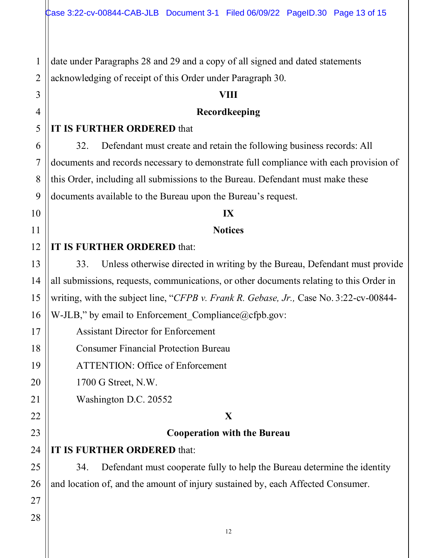1 2 date under Paragraphs 28 and 29 and a copy of all signed and dated statements acknowledging of receipt of this Order under Paragraph 30.

### **VIII**

### **Recordkeeping**

### **IT IS FURTHER ORDERED** that

32. Defendant must create and retain the following business records: All documents and records necessary to demonstrate full compliance with each provision of this Order, including all submissions to the Bureau. Defendant must make these documents available to the Bureau upon the Bureau's request.

### **IX**

### **Notices**

### **IT IS FURTHER ORDERED** that:

33. Unless otherwise directed in writing by the Bureau, Defendant must provide all submissions, requests, communications, or other documents relating to this Order in writing, with the subject line, "*CFPB v. Frank R. Gebase, Jr.,* Case No. 3:22-cv-00844- W-JLB," by email to Enforcement Compliance $@$ cfpb.gov:

Assistant Director for Enforcement

Consumer Financial Protection Bureau

ATTENTION: Office of Enforcement

1700 G Street, N.W.

Washington D.C. 20552

### **X**

### **Cooperation with the Bureau**

**IT IS FURTHER ORDERED** that:

34. Defendant must cooperate fully to help the Bureau determine the identity and location of, and the amount of injury sustained by, each Affected Consumer.

# 15 16 17 18 19 20 21 22 23 24 25 26 27 28

3

4

5

6

7

8

9

10

11

12

13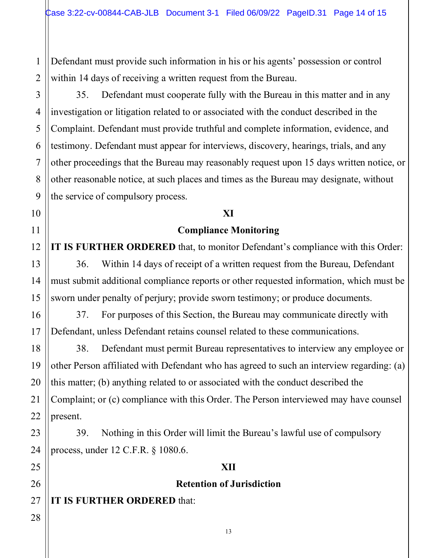1 2 Defendant must provide such information in his or his agents' possession or control within 14 days of receiving a written request from the Bureau.

35. Defendant must cooperate fully with the Bureau in this matter and in any investigation or litigation related to or associated with the conduct described in the Complaint. Defendant must provide truthful and complete information, evidence, and testimony. Defendant must appear for interviews, discovery, hearings, trials, and any other proceedings that the Bureau may reasonably request upon 15 days written notice, or other reasonable notice, at such places and times as the Bureau may designate, without the service of compulsory process.

### **XI**

### **Compliance Monitoring**

**IT IS FURTHER ORDERED** that, to monitor Defendant's compliance with this Order: 36. Within 14 days of receipt of a written request from the Bureau, Defendant must submit additional compliance reports or other requested information, which must be sworn under penalty of perjury; provide sworn testimony; or produce documents.

37. For purposes of this Section, the Bureau may communicate directly with Defendant, unless Defendant retains counsel related to these communications.

38. Defendant must permit Bureau representatives to interview any employee or other Person affiliated with Defendant who has agreed to such an interview regarding: (a) this matter; (b) anything related to or associated with the conduct described the Complaint; or (c) compliance with this Order. The Person interviewed may have counsel present.

39. Nothing in this Order will limit the Bureau's lawful use of compulsory process, under 12 C.F.R. § 1080.6.

### **XII**

### **Retention of Jurisdiction**

**IT IS FURTHER ORDERED** that: